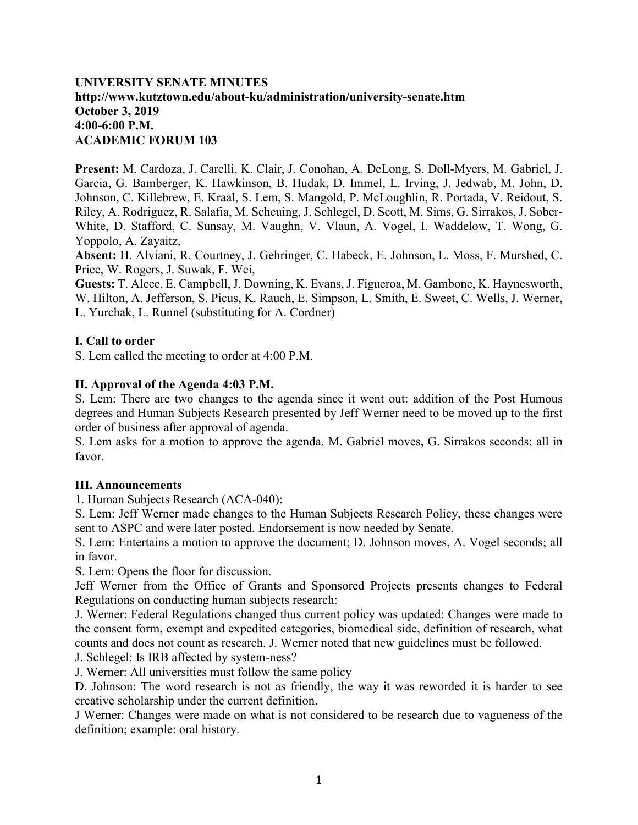# **UNIVERSITY SENATE MINUTES http://www.kutztown.edu/about-ku/administration/university-senate.htm October 3, 2019 4:00-6:00 P.M. ACADEMIC FORUM 103**

**Present:** M. Cardoza, J. Carelli, K. Clair, J. Conohan, A. DeLong, S. Doll-Myers, M. Gabriel, J. Garcia, G. Bamberger, K. Hawkinson, B. Hudak, D. Immel, L. Irving, J. Jedwab, M. John, D. Johnson, C. Killebrew, E. Kraal, S. Lem, S. Mangold, P. McLoughlin, R. Portada, V. Reidout, S. Riley, A. Rodriguez, R. Salafia, M. Scheuing, J. Schlegel, D. Scott, M. Sims, G. Sirrakos, J. Sober-White, D. Stafford, C. Sunsay, M. Vaughn, V. Vlaun, A. Vogel, I. Waddelow, T. Wong, G. Yoppolo, A. Zayaitz,

**Absent:** H. Alviani, R. Courtney, J. Gehringer, C. Habeck, E. Johnson, L. Moss, F. Murshed, C. Price, W. Rogers, J. Suwak, F. Wei,

**Guests:** T. Alcee, E. Campbell, J. Downing, K. Evans, J. Figueroa, M. Gambone, K. Haynesworth, W. Hilton, A. Jefferson, S. Picus, K. Rauch, E. Simpson, L. Smith, E. Sweet, C. Wells, J. Werner, L. Yurchak, L. Runnel (substituting for A. Cordner)

### **I. Call to order**

S. Lem called the meeting to order at 4:00 P.M.

### **II. Approval of the Agenda 4:03 P.M.**

S. Lem: There are two changes to the agenda since it went out: addition of the Post Humous degrees and Human Subjects Research presented by Jeff Werner need to be moved up to the first order of business after approval of agenda.

S. Lem asks for a motion to approve the agenda, M. Gabriel moves, G. Sirrakos seconds; all in favor.

### **III. Announcements**

1. Human Subjects Research (ACA-040):

S. Lem: Jeff Werner made changes to the Human Subjects Research Policy, these changes were sent to ASPC and were later posted. Endorsement is now needed by Senate.

S. Lem: Entertains a motion to approve the document; D. Johnson moves, A. Vogel seconds; all in favor.

S. Lem: Opens the floor for discussion.

Jeff Werner from the Office of Grants and Sponsored Projects presents changes to Federal Regulations on conducting human subjects research:

J. Werner: Federal Regulations changed thus current policy was updated: Changes were made to the consent form, exempt and expedited categories, biomedical side, definition of research, what counts and does not count as research. J. Werner noted that new guidelines must be followed.

J. Schlegel: Is IRB affected by system-ness?

J. Werner: All universities must follow the same policy

D. Johnson: The word research is not as friendly, the way it was reworded it is harder to see creative scholarship under the current definition.

J Werner: Changes were made on what is not considered to be research due to vagueness of the definition; example: oral history.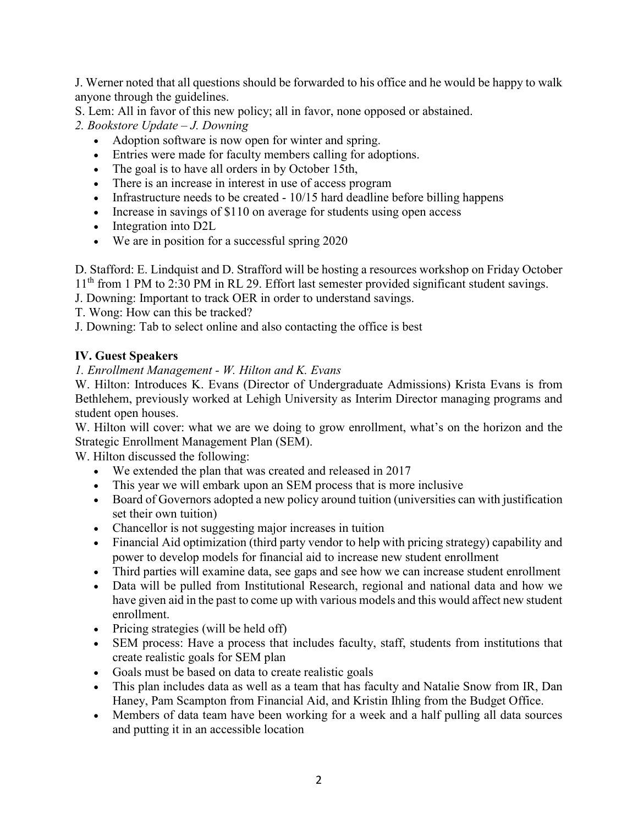J. Werner noted that all questions should be forwarded to his office and he would be happy to walk anyone through the guidelines.

- S. Lem: All in favor of this new policy; all in favor, none opposed or abstained.
- *2. Bookstore Update – J. Downing*
	- Adoption software is now open for winter and spring.
	- Entries were made for faculty members calling for adoptions.
	- The goal is to have all orders in by October 15th,
	- There is an increase in interest in use of access program
	- Infrastructure needs to be created 10/15 hard deadline before billing happens
	- Increase in savings of \$110 on average for students using open access
	- Integration into D2L
	- We are in position for a successful spring 2020

D. Stafford: E. Lindquist and D. Strafford will be hosting a resources workshop on Friday October 11<sup>th</sup> from 1 PM to 2:30 PM in RL 29. Effort last semester provided significant student savings.

- J. Downing: Important to track OER in order to understand savings.
- T. Wong: How can this be tracked?

J. Downing: Tab to select online and also contacting the office is best

# **IV. Guest Speakers**

# *1. Enrollment Management - W. Hilton and K. Evans*

W. Hilton: Introduces K. Evans (Director of Undergraduate Admissions) Krista Evans is from Bethlehem, previously worked at Lehigh University as Interim Director managing programs and student open houses.

W. Hilton will cover: what we are we doing to grow enrollment, what's on the horizon and the Strategic Enrollment Management Plan (SEM).

W. Hilton discussed the following:

- We extended the plan that was created and released in 2017
- This year we will embark upon an SEM process that is more inclusive
- Board of Governors adopted a new policy around tuition (universities can with justification set their own tuition)
- Chancellor is not suggesting major increases in tuition
- Financial Aid optimization (third party vendor to help with pricing strategy) capability and power to develop models for financial aid to increase new student enrollment
- Third parties will examine data, see gaps and see how we can increase student enrollment
- Data will be pulled from Institutional Research, regional and national data and how we have given aid in the past to come up with various models and this would affect new student enrollment.
- Pricing strategies (will be held off)
- SEM process: Have a process that includes faculty, staff, students from institutions that create realistic goals for SEM plan
- Goals must be based on data to create realistic goals
- This plan includes data as well as a team that has faculty and Natalie Snow from IR, Dan Haney, Pam Scampton from Financial Aid, and Kristin Ihling from the Budget Office.
- Members of data team have been working for a week and a half pulling all data sources and putting it in an accessible location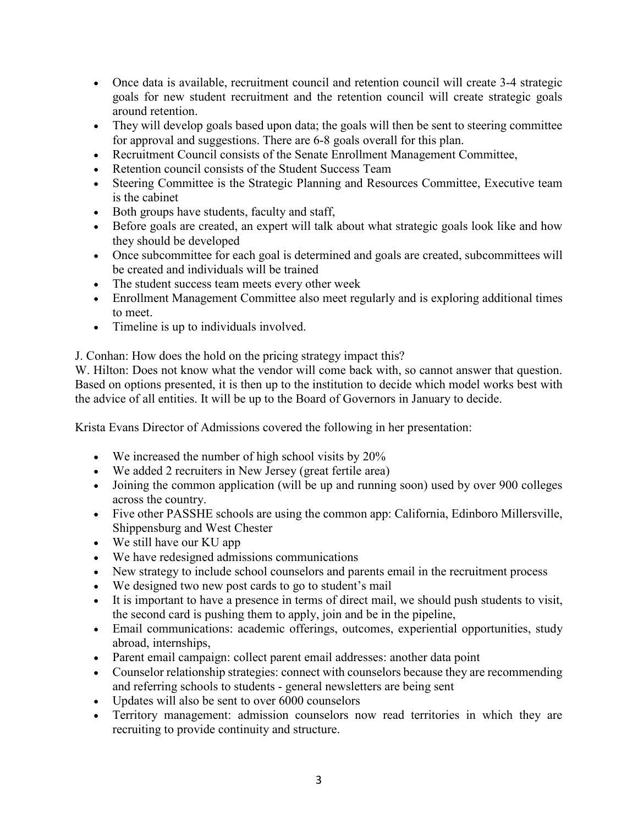- Once data is available, recruitment council and retention council will create 3-4 strategic goals for new student recruitment and the retention council will create strategic goals around retention.
- They will develop goals based upon data; the goals will then be sent to steering committee for approval and suggestions. There are 6-8 goals overall for this plan.
- Recruitment Council consists of the Senate Enrollment Management Committee,
- Retention council consists of the Student Success Team
- Steering Committee is the Strategic Planning and Resources Committee, Executive team is the cabinet
- Both groups have students, faculty and staff,
- Before goals are created, an expert will talk about what strategic goals look like and how they should be developed
- Once subcommittee for each goal is determined and goals are created, subcommittees will be created and individuals will be trained
- The student success team meets every other week
- Enrollment Management Committee also meet regularly and is exploring additional times to meet.
- Timeline is up to individuals involved.

J. Conhan: How does the hold on the pricing strategy impact this?

W. Hilton: Does not know what the vendor will come back with, so cannot answer that question. Based on options presented, it is then up to the institution to decide which model works best with the advice of all entities. It will be up to the Board of Governors in January to decide.

Krista Evans Director of Admissions covered the following in her presentation:

- We increased the number of high school visits by 20%
- We added 2 recruiters in New Jersey (great fertile area)
- Joining the common application (will be up and running soon) used by over 900 colleges across the country.
- Five other PASSHE schools are using the common app: California, Edinboro Millersville, Shippensburg and West Chester
- We still have our KU app
- We have redesigned admissions communications
- New strategy to include school counselors and parents email in the recruitment process
- We designed two new post cards to go to student's mail
- It is important to have a presence in terms of direct mail, we should push students to visit, the second card is pushing them to apply, join and be in the pipeline,
- Email communications: academic offerings, outcomes, experiential opportunities, study abroad, internships,
- Parent email campaign: collect parent email addresses: another data point
- Counselor relationship strategies: connect with counselors because they are recommending and referring schools to students - general newsletters are being sent
- Updates will also be sent to over 6000 counselors
- Territory management: admission counselors now read territories in which they are recruiting to provide continuity and structure.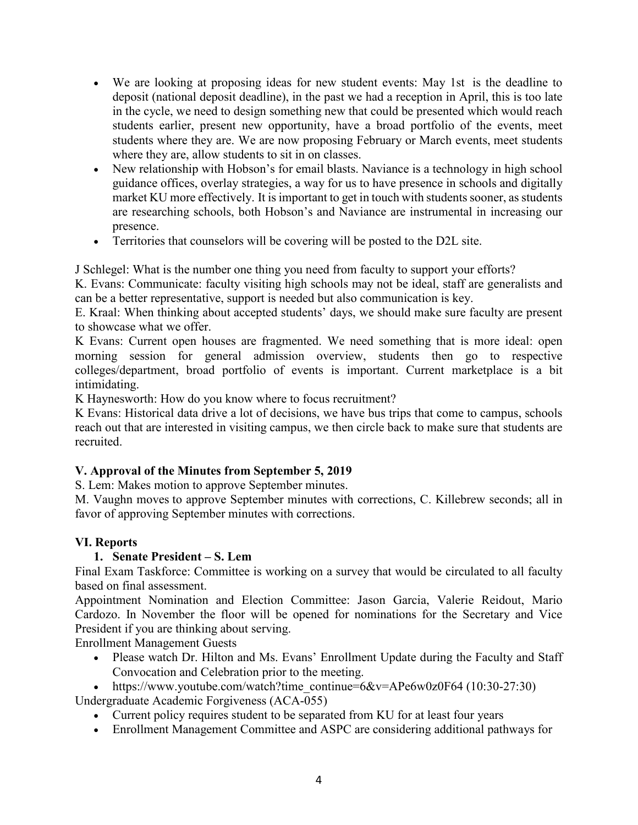- We are looking at proposing ideas for new student events: May 1st is the deadline to deposit (national deposit deadline), in the past we had a reception in April, this is too late in the cycle, we need to design something new that could be presented which would reach students earlier, present new opportunity, have a broad portfolio of the events, meet students where they are. We are now proposing February or March events, meet students where they are, allow students to sit in on classes.
- New relationship with Hobson's for email blasts. Naviance is a technology in high school guidance offices, overlay strategies, a way for us to have presence in schools and digitally market KU more effectively. It is important to get in touch with students sooner, as students are researching schools, both Hobson's and Naviance are instrumental in increasing our presence.
- Territories that counselors will be covering will be posted to the D2L site.

J Schlegel: What is the number one thing you need from faculty to support your efforts?

K. Evans: Communicate: faculty visiting high schools may not be ideal, staff are generalists and can be a better representative, support is needed but also communication is key.

E. Kraal: When thinking about accepted students' days, we should make sure faculty are present to showcase what we offer.

K Evans: Current open houses are fragmented. We need something that is more ideal: open morning session for general admission overview, students then go to respective colleges/department, broad portfolio of events is important. Current marketplace is a bit intimidating.

K Haynesworth: How do you know where to focus recruitment?

K Evans: Historical data drive a lot of decisions, we have bus trips that come to campus, schools reach out that are interested in visiting campus, we then circle back to make sure that students are recruited.

# **V. Approval of the Minutes from September 5, 2019**

S. Lem: Makes motion to approve September minutes.

M. Vaughn moves to approve September minutes with corrections, C. Killebrew seconds; all in favor of approving September minutes with corrections.

# **VI. Reports**

# **1. Senate President – S. Lem**

Final Exam Taskforce: Committee is working on a survey that would be circulated to all faculty based on final assessment.

Appointment Nomination and Election Committee: Jason Garcia, Valerie Reidout, Mario Cardozo. In November the floor will be opened for nominations for the Secretary and Vice President if you are thinking about serving.

Enrollment Management Guests

• Please watch Dr. Hilton and Ms. Evans' Enrollment Update during the Faculty and Staff Convocation and Celebration prior to the meeting.

• https://www.youtube.com/watch?time\_continue= $6&v=APe6w0z0F64 (10:30-27:30)$ Undergraduate Academic Forgiveness (ACA-055)

- Current policy requires student to be separated from KU for at least four years
- Enrollment Management Committee and ASPC are considering additional pathways for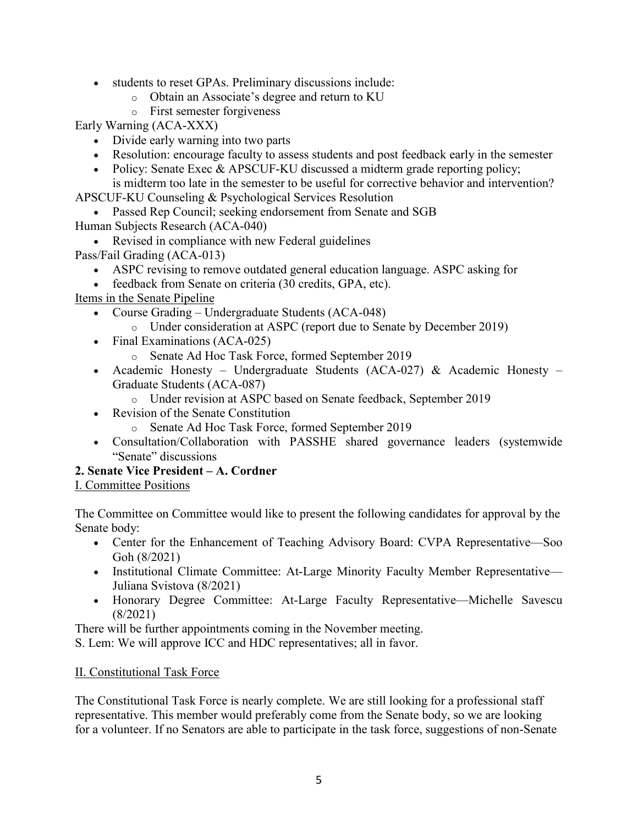- students to reset GPAs. Preliminary discussions include:
	- o Obtain an Associate's degree and return to KU
	- o First semester forgiveness

Early Warning (ACA-XXX)

- Divide early warning into two parts
- Resolution: encourage faculty to assess students and post feedback early in the semester
- Policy: Senate Exec & APSCUF-KU discussed a midterm grade reporting policy; is midterm too late in the semester to be useful for corrective behavior and intervention?

APSCUF-KU Counseling & Psychological Services Resolution

- Passed Rep Council; seeking endorsement from Senate and SGB Human Subjects Research (ACA-040)
	- Revised in compliance with new Federal guidelines

Pass/Fail Grading (ACA-013)

- ASPC revising to remove outdated general education language. ASPC asking for
- feedback from Senate on criteria (30 credits, GPA, etc).

Items in the Senate Pipeline

- Course Grading Undergraduate Students (ACA-048)
	- o Under consideration at ASPC (report due to Senate by December 2019)
- Final Examinations (ACA-025)
	- o Senate Ad Hoc Task Force, formed September 2019
- Academic Honesty Undergraduate Students (ACA-027) & Academic Honesty Graduate Students (ACA-087)
	- o Under revision at ASPC based on Senate feedback, September 2019
- Revision of the Senate Constitution
	- o Senate Ad Hoc Task Force, formed September 2019
- Consultation/Collaboration with PASSHE shared governance leaders (systemwide "Senate" discussions

# **2. Senate Vice President – A. Cordner**

I. Committee Positions

The Committee on Committee would like to present the following candidates for approval by the Senate body:

- Center for the Enhancement of Teaching Advisory Board: CVPA Representative—Soo Goh (8/2021)
- Institutional Climate Committee: At-Large Minority Faculty Member Representative— Juliana Svistova (8/2021)
- Honorary Degree Committee: At-Large Faculty Representative—Michelle Savescu (8/2021)

There will be further appointments coming in the November meeting.

S. Lem: We will approve ICC and HDC representatives; all in favor.

# II. Constitutional Task Force

The Constitutional Task Force is nearly complete. We are still looking for a professional staff representative. This member would preferably come from the Senate body, so we are looking for a volunteer. If no Senators are able to participate in the task force, suggestions of non-Senate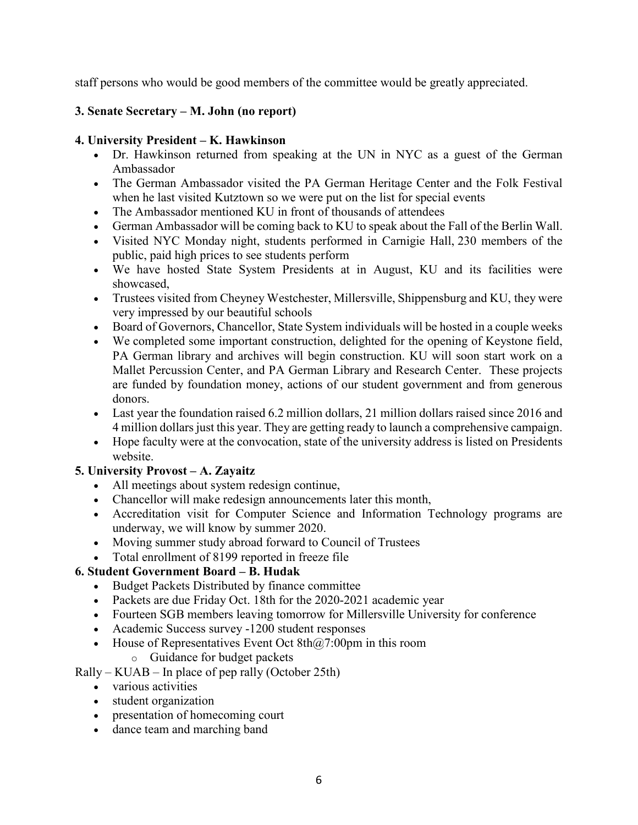staff persons who would be good members of the committee would be greatly appreciated.

# **3. Senate Secretary – M. John (no report)**

# **4. University President – K. Hawkinson**

- Dr. Hawkinson returned from speaking at the UN in NYC as a guest of the German Ambassador
- The German Ambassador visited the PA German Heritage Center and the Folk Festival when he last visited Kutztown so we were put on the list for special events
- The Ambassador mentioned KU in front of thousands of attendees
- German Ambassador will be coming back to KU to speak about the Fall of the Berlin Wall.
- Visited NYC Monday night, students performed in Carnigie Hall, 230 members of the public, paid high prices to see students perform
- We have hosted State System Presidents at in August, KU and its facilities were showcased,
- Trustees visited from Cheyney Westchester, Millersville, Shippensburg and KU, they were very impressed by our beautiful schools
- Board of Governors, Chancellor, State System individuals will be hosted in a couple weeks
- We completed some important construction, delighted for the opening of Keystone field, PA German library and archives will begin construction. KU will soon start work on a Mallet Percussion Center, and PA German Library and Research Center. These projects are funded by foundation money, actions of our student government and from generous donors.
- Last year the foundation raised 6.2 million dollars, 21 million dollars raised since 2016 and 4 million dollars just this year. They are getting ready to launch a comprehensive campaign.
- Hope faculty were at the convocation, state of the university address is listed on Presidents website.

# **5. University Provost – A. Zayaitz**

- All meetings about system redesign continue,
- Chancellor will make redesign announcements later this month,
- Accreditation visit for Computer Science and Information Technology programs are underway, we will know by summer 2020.
- Moving summer study abroad forward to Council of Trustees
- Total enrollment of 8199 reported in freeze file

# **6. Student Government Board – B. Hudak**

- Budget Packets Distributed by finance committee
- Packets are due Friday Oct. 18th for the 2020-2021 academic year
- Fourteen SGB members leaving tomorrow for Millersville University for conference
- Academic Success survey -1200 student responses
- House of Representatives Event Oct  $8th@7:00pm$  in this room
	- o Guidance for budget packets

Rally – KUAB – In place of pep rally (October 25th)

- various activities
- student organization
- presentation of homecoming court
- dance team and marching band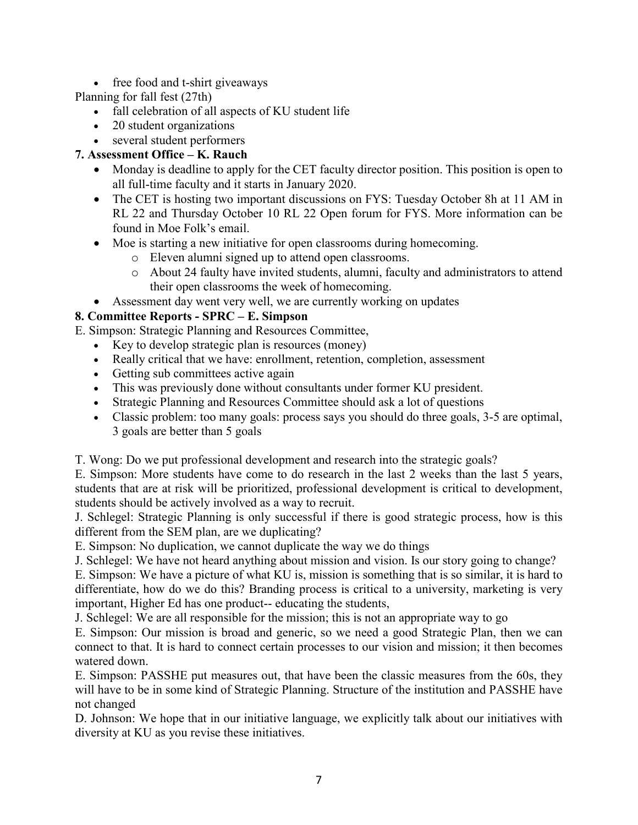• free food and t-shirt giveaways

# Planning for fall fest (27th)

- fall celebration of all aspects of KU student life
- 20 student organizations
- several student performers

# **7. Assessment Office – K. Rauch**

- Monday is deadline to apply for the CET faculty director position. This position is open to all full-time faculty and it starts in January 2020.
- The CET is hosting two important discussions on FYS: Tuesday October 8h at 11 AM in RL 22 and Thursday October 10 RL 22 Open forum for FYS. More information can be found in Moe Folk's email.
- Moe is starting a new initiative for open classrooms during homecoming.
	- o Eleven alumni signed up to attend open classrooms.
	- o About 24 faulty have invited students, alumni, faculty and administrators to attend their open classrooms the week of homecoming.
- Assessment day went very well, we are currently working on updates

# **8. Committee Reports - SPRC – E. Simpson**

E. Simpson: Strategic Planning and Resources Committee,

- Key to develop strategic plan is resources (money)
- Really critical that we have: enrollment, retention, completion, assessment
- Getting sub committees active again
- This was previously done without consultants under former KU president.
- Strategic Planning and Resources Committee should ask a lot of questions
- Classic problem: too many goals: process says you should do three goals, 3-5 are optimal, 3 goals are better than 5 goals

T. Wong: Do we put professional development and research into the strategic goals?

E. Simpson: More students have come to do research in the last 2 weeks than the last 5 years, students that are at risk will be prioritized, professional development is critical to development, students should be actively involved as a way to recruit.

J. Schlegel: Strategic Planning is only successful if there is good strategic process, how is this different from the SEM plan, are we duplicating?

E. Simpson: No duplication, we cannot duplicate the way we do things

J. Schlegel: We have not heard anything about mission and vision. Is our story going to change?

E. Simpson: We have a picture of what KU is, mission is something that is so similar, it is hard to differentiate, how do we do this? Branding process is critical to a university, marketing is very important, Higher Ed has one product-- educating the students,

J. Schlegel: We are all responsible for the mission; this is not an appropriate way to go

E. Simpson: Our mission is broad and generic, so we need a good Strategic Plan, then we can connect to that. It is hard to connect certain processes to our vision and mission; it then becomes watered down.

E. Simpson: PASSHE put measures out, that have been the classic measures from the 60s, they will have to be in some kind of Strategic Planning. Structure of the institution and PASSHE have not changed

D. Johnson: We hope that in our initiative language, we explicitly talk about our initiatives with diversity at KU as you revise these initiatives.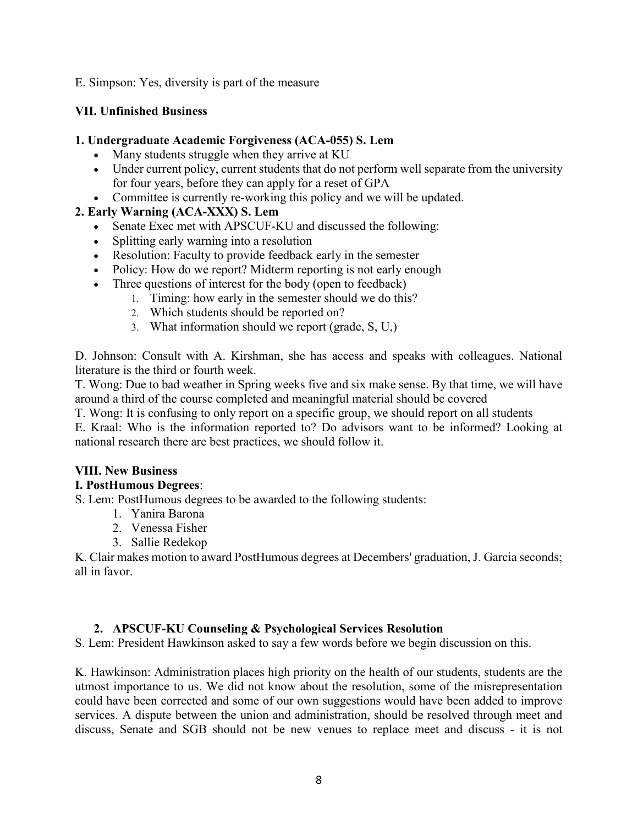E. Simpson: Yes, diversity is part of the measure

### **VII. Unfinished Business**

### **1. Undergraduate Academic Forgiveness (ACA-055) S. Lem**

- Many students struggle when they arrive at KU
- Under current policy, current students that do not perform well separate from the university for four years, before they can apply for a reset of GPA
- Committee is currently re-working this policy and we will be updated.

# **2. Early Warning (ACA-XXX) S. Lem**

- Senate Exec met with APSCUF-KU and discussed the following:
- Splitting early warning into a resolution
- Resolution: Faculty to provide feedback early in the semester
- Policy: How do we report? Midterm reporting is not early enough
- Three questions of interest for the body (open to feedback)
	- 1. Timing: how early in the semester should we do this?
	- 2. Which students should be reported on?
	- 3. What information should we report (grade, S, U,)

D. Johnson: Consult with A. Kirshman, she has access and speaks with colleagues. National literature is the third or fourth week.

T. Wong: Due to bad weather in Spring weeks five and six make sense. By that time, we will have around a third of the course completed and meaningful material should be covered

T. Wong: It is confusing to only report on a specific group, we should report on all students

E. Kraal: Who is the information reported to? Do advisors want to be informed? Looking at national research there are best practices, we should follow it.

### **VIII. New Business**

### **I. PostHumous Degrees**:

S. Lem: PostHumous degrees to be awarded to the following students:

- 1. Yanira Barona
- 2. Venessa Fisher
- 3. Sallie Redekop

K. Clair makes motion to award PostHumous degrees at Decembers' graduation, J. Garcia seconds; all in favor.

### **2. APSCUF-KU Counseling & Psychological Services Resolution**

S. Lem: President Hawkinson asked to say a few words before we begin discussion on this.

K. Hawkinson: Administration places high priority on the health of our students, students are the utmost importance to us. We did not know about the resolution, some of the misrepresentation could have been corrected and some of our own suggestions would have been added to improve services. A dispute between the union and administration, should be resolved through meet and discuss, Senate and SGB should not be new venues to replace meet and discuss - it is not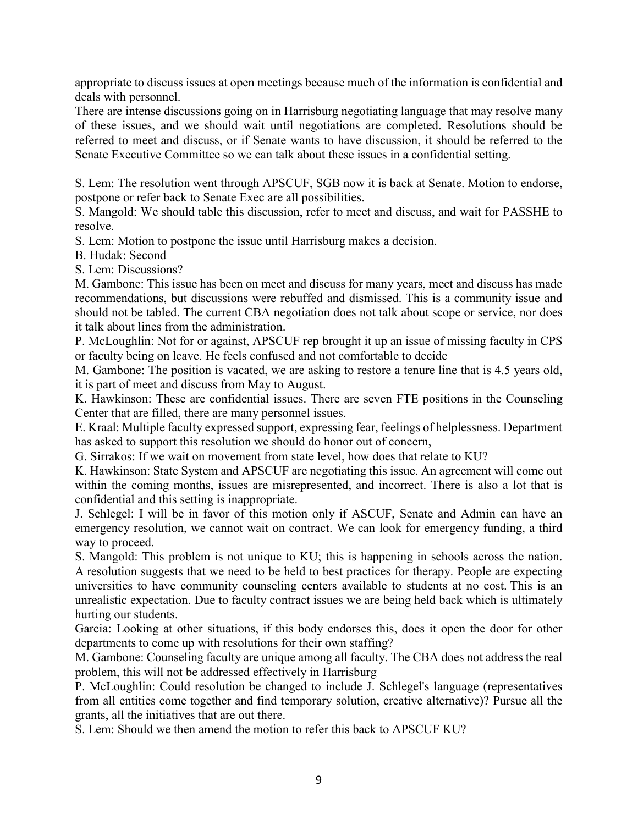appropriate to discuss issues at open meetings because much of the information is confidential and deals with personnel.

There are intense discussions going on in Harrisburg negotiating language that may resolve many of these issues, and we should wait until negotiations are completed. Resolutions should be referred to meet and discuss, or if Senate wants to have discussion, it should be referred to the Senate Executive Committee so we can talk about these issues in a confidential setting.

S. Lem: The resolution went through APSCUF, SGB now it is back at Senate. Motion to endorse, postpone or refer back to Senate Exec are all possibilities.

S. Mangold: We should table this discussion, refer to meet and discuss, and wait for PASSHE to resolve.

S. Lem: Motion to postpone the issue until Harrisburg makes a decision.

B. Hudak: Second

S. Lem: Discussions?

M. Gambone: This issue has been on meet and discuss for many years, meet and discuss has made recommendations, but discussions were rebuffed and dismissed. This is a community issue and should not be tabled. The current CBA negotiation does not talk about scope or service, nor does it talk about lines from the administration.

P. McLoughlin: Not for or against, APSCUF rep brought it up an issue of missing faculty in CPS or faculty being on leave. He feels confused and not comfortable to decide

M. Gambone: The position is vacated, we are asking to restore a tenure line that is 4.5 years old, it is part of meet and discuss from May to August.

K. Hawkinson: These are confidential issues. There are seven FTE positions in the Counseling Center that are filled, there are many personnel issues.

E. Kraal: Multiple faculty expressed support, expressing fear, feelings of helplessness. Department has asked to support this resolution we should do honor out of concern,

G. Sirrakos: If we wait on movement from state level, how does that relate to KU?

K. Hawkinson: State System and APSCUF are negotiating this issue. An agreement will come out within the coming months, issues are misrepresented, and incorrect. There is also a lot that is confidential and this setting is inappropriate.

J. Schlegel: I will be in favor of this motion only if ASCUF, Senate and Admin can have an emergency resolution, we cannot wait on contract. We can look for emergency funding, a third way to proceed.

S. Mangold: This problem is not unique to KU; this is happening in schools across the nation. A resolution suggests that we need to be held to best practices for therapy. People are expecting universities to have community counseling centers available to students at no cost. This is an unrealistic expectation. Due to faculty contract issues we are being held back which is ultimately hurting our students.

Garcia: Looking at other situations, if this body endorses this, does it open the door for other departments to come up with resolutions for their own staffing?

M. Gambone: Counseling faculty are unique among all faculty. The CBA does not address the real problem, this will not be addressed effectively in Harrisburg

P. McLoughlin: Could resolution be changed to include J. Schlegel's language (representatives from all entities come together and find temporary solution, creative alternative)? Pursue all the grants, all the initiatives that are out there.

S. Lem: Should we then amend the motion to refer this back to APSCUF KU?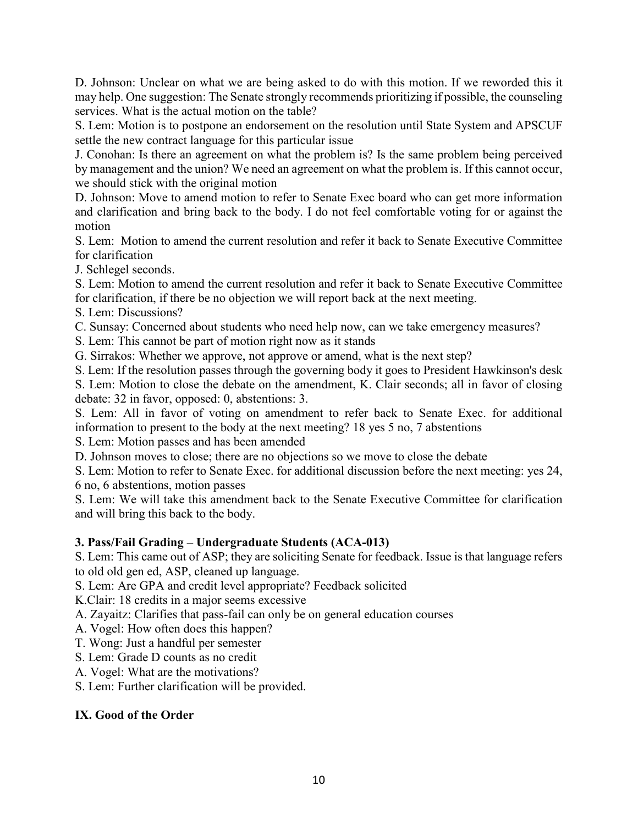D. Johnson: Unclear on what we are being asked to do with this motion. If we reworded this it may help. One suggestion: The Senate strongly recommends prioritizing if possible, the counseling services. What is the actual motion on the table?

S. Lem: Motion is to postpone an endorsement on the resolution until State System and APSCUF settle the new contract language for this particular issue

J. Conohan: Is there an agreement on what the problem is? Is the same problem being perceived by management and the union? We need an agreement on what the problem is. If this cannot occur, we should stick with the original motion

D. Johnson: Move to amend motion to refer to Senate Exec board who can get more information and clarification and bring back to the body. I do not feel comfortable voting for or against the motion

S. Lem: Motion to amend the current resolution and refer it back to Senate Executive Committee for clarification

J. Schlegel seconds.

S. Lem: Motion to amend the current resolution and refer it back to Senate Executive Committee for clarification, if there be no objection we will report back at the next meeting.

S. Lem: Discussions?

C. Sunsay: Concerned about students who need help now, can we take emergency measures?

S. Lem: This cannot be part of motion right now as it stands

G. Sirrakos: Whether we approve, not approve or amend, what is the next step?

S. Lem: If the resolution passes through the governing body it goes to President Hawkinson's desk

S. Lem: Motion to close the debate on the amendment, K. Clair seconds; all in favor of closing debate: 32 in favor, opposed: 0, abstentions: 3.

S. Lem: All in favor of voting on amendment to refer back to Senate Exec. for additional information to present to the body at the next meeting? 18 yes 5 no, 7 abstentions

S. Lem: Motion passes and has been amended

D. Johnson moves to close; there are no objections so we move to close the debate

S. Lem: Motion to refer to Senate Exec. for additional discussion before the next meeting: yes 24, 6 no, 6 abstentions, motion passes

S. Lem: We will take this amendment back to the Senate Executive Committee for clarification and will bring this back to the body.

# **3. Pass/Fail Grading – Undergraduate Students (ACA-013)**

S. Lem: This came out of ASP; they are soliciting Senate for feedback. Issue is that language refers to old old gen ed, ASP, cleaned up language.

S. Lem: Are GPA and credit level appropriate? Feedback solicited

K.Clair: 18 credits in a major seems excessive

A. Zayaitz: Clarifies that pass-fail can only be on general education courses

A. Vogel: How often does this happen?

T. Wong: Just a handful per semester

S. Lem: Grade D counts as no credit

A. Vogel: What are the motivations?

S. Lem: Further clarification will be provided.

# **IX. Good of the Order**